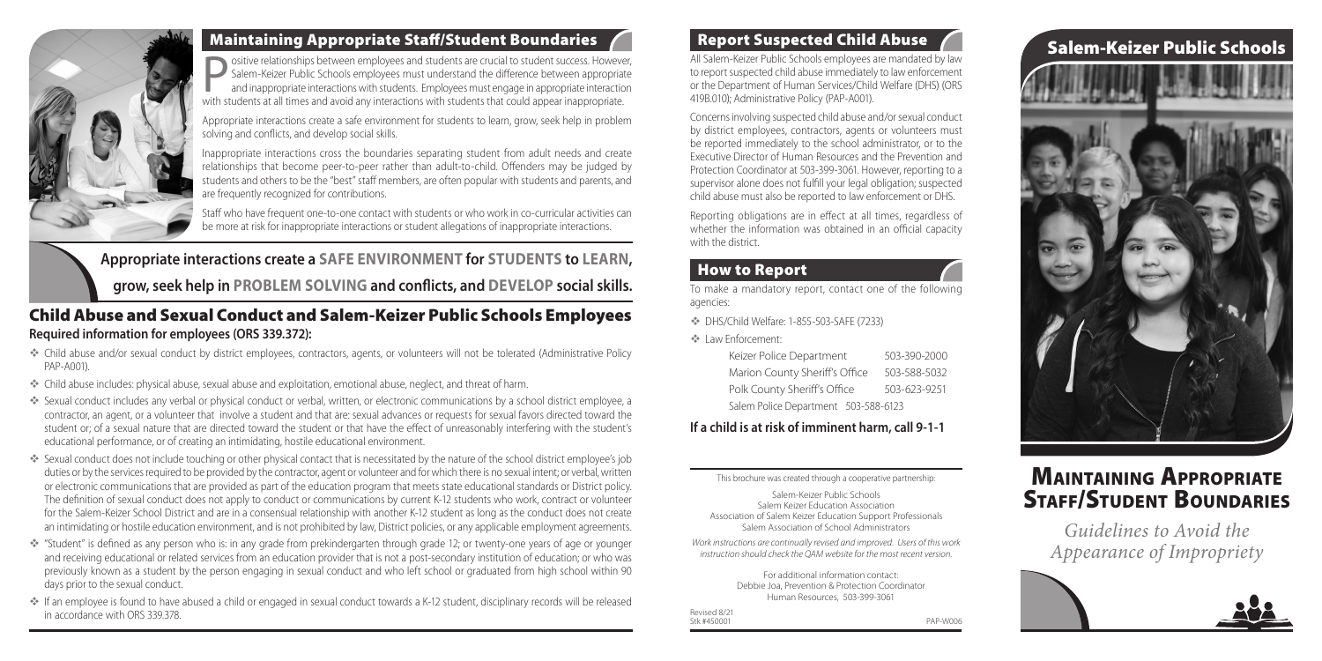All Salem-Keizer Public Schools employees are mandated by law to report suspected child abuse immediately to law enforcement or the Department of Human Services/Child Welfare (DHS) (ORS 419B.010); Administrative Policy (PAP-A001).

Concerns involving suspected child abuse and/or sexual conduct by district employees, contractors, agents or volunteers must be reported immediately to the school administrator, or to the Executive Director of Human Resources and the Prevention and Protection Coordinator at 503-399-3061. However, reporting to a supervisor alone does not fulfill your legal obligation; suspected child abuse must also be reported to law enforcement or DHS.

Reporting obligations are in effect at all times, regardless of whether the information was obtained in an official capacity with the district.

### **How to Report**

To make a mandatory report, contact one of the following agencies:

DHS/Child Welfare: 1-855-503-SAFE (7233)

Law Enforcement:

Ositive relationships between employees and students are crucial to student success. However,<br>Salem-Keizer Public Schools employees must understand the difference between appropriate<br>and inappropriate interactions with stu Salem-Keizer Public Schools employees must understand the difference between appropriate and inappropriate interactions with students. Employees must engage in appropriate interaction with students at all times and avoid any interactions with students that could appear inappropriate.

| Keizer Police Department             | 503-390-2000 |
|--------------------------------------|--------------|
| Marion County Sheriff's Office       | 503-588-5032 |
| Polk County Sheriff's Office         | 503-623-9251 |
| Salem Police Department 503-588-6123 |              |

#### **If a child is at risk of imminent harm, call 9-1-1**

This brochure was created through a cooperative partnership:

Salem-Keizer Public Schools Salem Keizer Education Association Association of Salem Keizer Education Support Professionals Salem Association of School Administrators

### Maintaining Appropriate **STAFF/STUDENT BOUNDARIES**

*Work instructions are continually revised and improved. Users of this work instruction should check the QAM website for the most recent version.* 

> For additional information contact: Debbie Joa, Prevention & Protection Coordinator Human Resources, 503-399-3061

Revised 8/21 Stk #450001 PAP-W006

# Report Suspected Child Abuse **Salem-Keizer Public Schools**





#### Maintaining Appropriate Staff/Student Boundaries

Appropriate interactions create a safe environment for students to learn, grow, seek help in problem solving and conflicts, and develop social skills.

Inappropriate interactions cross the boundaries separating student from adult needs and create relationships that become peer-to-peer rather than adult-to-child. Offenders may be judged by students and others to be the "best" staff members, are often popular with students and parents, and are frequently recognized for contributions.

Staff who have frequent one-to-one contact with students or who work in co-curricular activities can be more at risk for inappropriate interactions or student allegations of inappropriate interactions.

> *Guidelines to Avoid the Appearance of Impropriety*



#### Child Abuse and Sexual Conduct and Salem-Keizer Public Schools Employees **Required information for employees (ORS 339.372):**

- Child abuse and/or sexual conduct by district employees, contractors, agents, or volunteers will not be tolerated (Administrative Policy PAP-A001).
- Child abuse includes: physical abuse, sexual abuse and exploitation, emotional abuse, neglect, and threat of harm.
- Sexual conduct includes any verbal or physical conduct or verbal, written, or electronic communications by a school district employee, a contractor, an agent, or a volunteer that involve a student and that are: sexual advances or requests for sexual favors directed toward the student or; of a sexual nature that are directed toward the student or that have the effect of unreasonably interfering with the student's educational performance, or of creating an intimidating, hostile educational environment.
- Sexual conduct does not include touching or other physical contact that is necessitated by the nature of the school district employee's job duties or by the services required to be provided by the contractor, agent or volunteer and for which there is no sexual intent; or verbal, written or electronic communications that are provided as part of the education program that meets state educational standards or District policy. The definition of sexual conduct does not apply to conduct or communications by current K-12 students who work, contract or volunteer for the Salem-Keizer School District and are in a consensual relationship with another K-12 student as long as the conduct does not create an intimidating or hostile education environment, and is not prohibited by law, District policies, or any applicable employment agreements.
- "Student" is defined as any person who is: in any grade from prekindergarten through grade 12; or twenty-one years of age or younger and receiving educational or related services from an education provider that is not a post-secondary institution of education; or who was previously known as a student by the person engaging in sexual conduct and who left school or graduated from high school within 90 days prior to the sexual conduct.
- If an employee is found to have abused a child or engaged in sexual conduct towards a K-12 student, disciplinary records will be released in accordance with ORS 339.378.

**Appropriate interactions create a SAFE ENVIRONMENT for STUDENTS to LEARN, grow, seek help in PROBLEM SOLVING and conflicts, and DEVELOP social skills.**